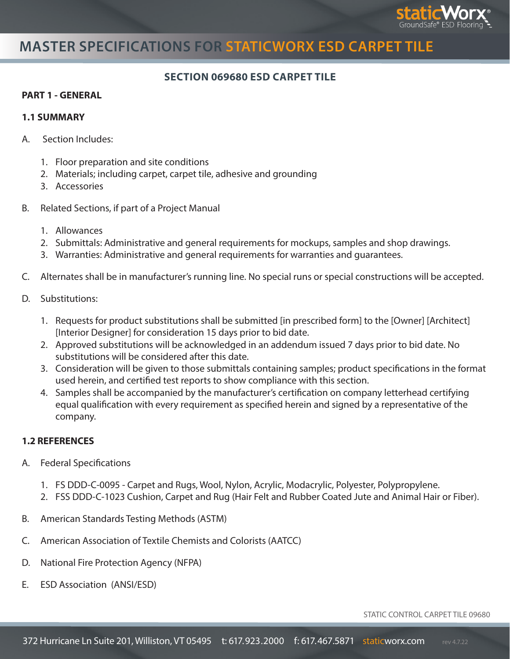

# **MASTER SPECIFICATIONS FOR STATICWORX ESD CARPET TILE**

### **SECTION 069680 ESD CARPET TILE**

#### **PART 1 - GENERAL**

#### **1.1 SUMMARY**

- A. Section Includes:
	- 1. Floor preparation and site conditions
	- 2. Materials; including carpet, carpet tile, adhesive and grounding
	- 3. Accessories
- B. Related Sections, if part of a Project Manual
	- 1. Allowances
	- 2. Submittals: Administrative and general requirements for mockups, samples and shop drawings.
	- 3. Warranties: Administrative and general requirements for warranties and guarantees.
- C. Alternates shall be in manufacturer's running line. No special runs or special constructions will be accepted.
- D. Substitutions:
	- 1. Requests for product substitutions shall be submitted [in prescribed form] to the [Owner] [Architect] [Interior Designer] for consideration 15 days prior to bid date.
	- 2. Approved substitutions will be acknowledged in an addendum issued 7 days prior to bid date. No substitutions will be considered after this date.
	- 3. Consideration will be given to those submittals containing samples; product specifications in the format used herein, and certified test reports to show compliance with this section.
	- 4. Samples shall be accompanied by the manufacturer's certification on company letterhead certifying equal qualification with every requirement as specified herein and signed by a representative of the company.

### **1.2 REFERENCES**

- A. Federal Specifications
	- 1. FS DDD-C-0095 Carpet and Rugs, Wool, Nylon, Acrylic, Modacrylic, Polyester, Polypropylene.
	- 2. FSS DDD-C-1023 Cushion, Carpet and Rug (Hair Felt and Rubber Coated Jute and Animal Hair or Fiber).
- B. American Standards Testing Methods (ASTM)
- C. American Association of Textile Chemists and Colorists (AATCC)
- D. National Fire Protection Agency (NFPA)
- E. ESD Association (ANSI/ESD)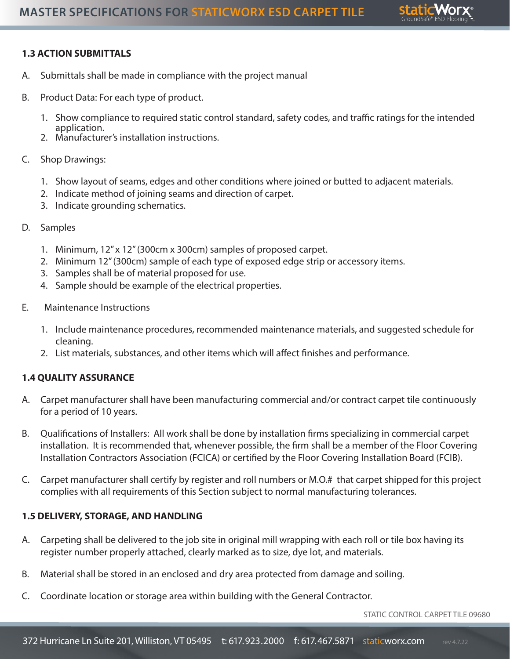

## **1.3 ACTION SUBMITTALS**

- A. Submittals shall be made in compliance with the project manual
- B. Product Data: For each type of product.
	- 1. Show compliance to required static control standard, safety codes, and traffic ratings for the intended application.
	- 2. Manufacturer's installation instructions.
- C. Shop Drawings:
	- 1. Show layout of seams, edges and other conditions where joined or butted to adjacent materials.
	- 2. Indicate method of joining seams and direction of carpet.
	- 3. Indicate grounding schematics.
- D. Samples
	- 1. Minimum, 12" x 12" (300cm x 300cm) samples of proposed carpet.
	- 2. Minimum 12" (300cm) sample of each type of exposed edge strip or accessory items.
	- 3. Samples shall be of material proposed for use.
	- 4. Sample should be example of the electrical properties.
- E. Maintenance Instructions
	- 1. Include maintenance procedures, recommended maintenance materials, and suggested schedule for cleaning.
	- 2. List materials, substances, and other items which will affect finishes and performance.

### **1.4 QUALITY ASSURANCE**

- A. Carpet manufacturer shall have been manufacturing commercial and/or contract carpet tile continuously for a period of 10 years.
- B. Qualifications of Installers: All work shall be done by installation firms specializing in commercial carpet installation. It is recommended that, whenever possible, the firm shall be a member of the Floor Covering Installation Contractors Association (FCICA) or certified by the Floor Covering Installation Board (FCIB).
- C. Carpet manufacturer shall certify by register and roll numbers or M.O.# that carpet shipped for this project complies with all requirements of this Section subject to normal manufacturing tolerances.

### **1.5 DELIVERY, STORAGE, AND HANDLING**

- A. Carpeting shall be delivered to the job site in original mill wrapping with each roll or tile box having its register number properly attached, clearly marked as to size, dye lot, and materials.
- B. Material shall be stored in an enclosed and dry area protected from damage and soiling.
- C. Coordinate location or storage area within building with the General Contractor.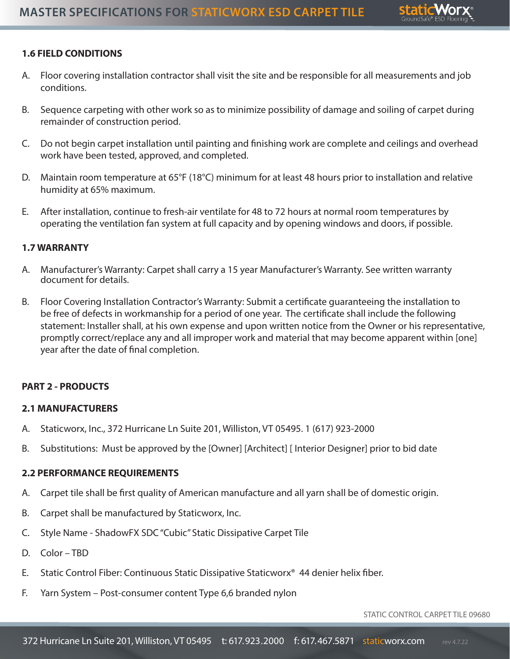

## **1.6 FIELD CONDITIONS**

- A. Floor covering installation contractor shall visit the site and be responsible for all measurements and job conditions.
- B. Sequence carpeting with other work so as to minimize possibility of damage and soiling of carpet during remainder of construction period.
- C. Do not begin carpet installation until painting and finishing work are complete and ceilings and overhead work have been tested, approved, and completed.
- D. Maintain room temperature at 65°F (18°C) minimum for at least 48 hours prior to installation and relative humidity at 65% maximum.
- E. After installation, continue to fresh-air ventilate for 48 to 72 hours at normal room temperatures by operating the ventilation fan system at full capacity and by opening windows and doors, if possible.

### **1.7 WARRANTY**

- A. Manufacturer's Warranty: Carpet shall carry a 15 year Manufacturer's Warranty. See written warranty document for details.
- B. Floor Covering Installation Contractor's Warranty: Submit a certificate guaranteeing the installation to be free of defects in workmanship for a period of one year. The certificate shall include the following statement: Installer shall, at his own expense and upon written notice from the Owner or his representative, promptly correct/replace any and all improper work and material that may become apparent within [one] year after the date of final completion.

### **PART 2 - PRODUCTS**

### **2.1 MANUFACTURERS**

- A. Staticworx, Inc., 372 Hurricane Ln Suite 201, Williston, VT 05495. 1 (617) 923-2000
- B. Substitutions: Must be approved by the [Owner] [Architect] [ Interior Designer] prior to bid date

### **2.2 PERFORMANCE REQUIREMENTS**

- A. Carpet tile shall be first quality of American manufacture and all yarn shall be of domestic origin.
- B. Carpet shall be manufactured by Staticworx, Inc.
- C. Style Name ShadowFX SDC "Cubic" Static Dissipative Carpet Tile
- D. Color TBD
- E. Static Control Fiber: Continuous Static Dissipative Staticworx® 44 denier helix fiber.
- F. Yarn System Post-consumer content Type 6,6 branded nylon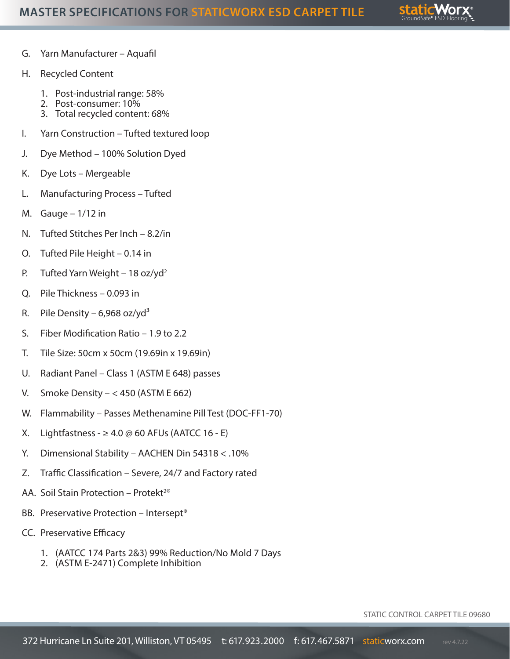

- G. Yarn Manufacturer Aquafil
- H. Recycled Content
	- 1. Post-industrial range: 58%
	- 2. Post-consumer: 10%
	- 3. Total recycled content: 68%
- I. Yarn Construction Tufted textured loop
- J. Dye Method 100% Solution Dyed
- K. Dye Lots Mergeable
- L. Manufacturing Process Tufted
- M. Gauge  $-1/12$  in
- N. Tufted Stitches Per Inch 8.2/in
- O. Tufted Pile Height 0.14 in
- P. Tufted Yarn Weight 18 oz/yd<sup>2</sup>
- Q. Pile Thickness 0.093 in
- R. Pile Density 6,968 oz/yd<sup>3</sup>
- S. Fiber Modification Ratio 1.9 to 2.2
- T. Tile Size: 50cm x 50cm (19.69in x 19.69in)
- U. Radiant Panel Class 1 (ASTM E 648) passes
- V. Smoke Density  $< 450$  (ASTM E 662)
- W. Flammability Passes Methenamine Pill Test (DOC-FF1-70)
- X. Lightfastness  $\geq 4.0 \oslash 60$  AFUs (AATCC 16 E)
- Y. Dimensional Stability AACHEN Din 54318 < .10%
- Z. Traffic Classification Severe, 24/7 and Factory rated
- AA. Soil Stain Protection Protekt<sup>2®</sup>
- BB. Preservative Protection Intersept®
- CC. Preservative Efficacy
	- 1. (AATCC 174 Parts 2&3) 99% Reduction/No Mold 7 Days
	- 2. (ASTM E-2471) Complete Inhibition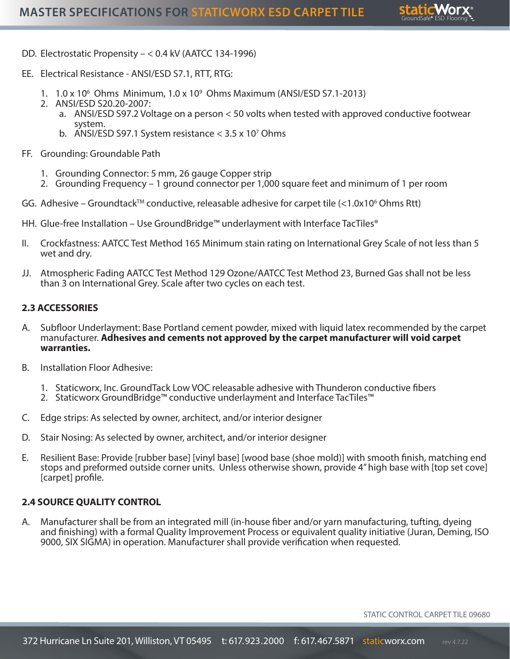

- DD. Electrostatic Propensity < 0.4 kV (AATCC 134-1996)
- EE. Electrical Resistance ANSI/ESD S7.1, RTT, RTG:
	- 1. 1.0 x 106 Ohms Minimum, 1.0 x 109 Ohms Maximum (ANSI/ESD S7.1-2013)
	- 2. ANSI/ESD S20.20-2007:
		- a. ANSI/ESD S97.2 Voltage on a person < 50 volts when tested with approved conductive footwear system.
		- b. ANSI/ESD S97.1 System resistance  $<$  3.5 x 10<sup>7</sup> Ohms
- FF. Grounding: Groundable Path
	- 1. Grounding Connector: 5 mm, 26 gauge Copper strip
	- 2. Grounding Frequency 1 ground connector per 1,000 square feet and minimum of 1 per room
- GG. Adhesive Groundtack™ conductive, releasable adhesive for carpet tile  $\left\langle \right.$ <1.0x10<sup>6</sup> Ohms Rtt)
- HH. Glue-free Installation Use GroundBridge™ underlayment with Interface TacTiles®
- II. Crockfastness: AATCC Test Method 165 Minimum stain rating on International Grey Scale of not less than 5 wet and dry.
- JJ. Atmospheric Fading AATCC Test Method 129 Ozone/AATCC Test Method 23, Burned Gas shall not be less than 3 on International Grey. Scale after two cycles on each test.

#### **2.3 ACCESSORIES**

- A. Subfloor Underlayment: Base Portland cement powder, mixed with liquid latex recommended by the carpet manufacturer. **Adhesives and cements not approved by the carpet manufacturer will void carpet warranties.**
- B. Installation Floor Adhesive:
	- 1. Staticworx, Inc. GroundTack Low VOC releasable adhesive with Thunderon conductive fibers
	- 2. Staticworx GroundBridge™ conductive underlayment and Interface TacTiles™
- C. Edge strips: As selected by owner, architect, and/or interior designer
- D. Stair Nosing: As selected by owner, architect, and/or interior designer
- E. Resilient Base: Provide [rubber base] [vinyl base] [wood base (shoe mold)] with smooth finish, matching end stops and preformed outside corner units. Unless otherwise shown, provide 4" high base with [top set cove] [carpet] profile.

#### **2.4 SOURCE QUALITY CONTROL**

A. Manufacturer shall be from an integrated mill (in-house fiber and/or yarn manufacturing, tufting, dyeing and finishing) with a formal Quality Improvement Process or equivalent quality initiative (Juran, Deming, ISO 9000, SIX SIGMA) in operation. Manufacturer shall provide verification when requested.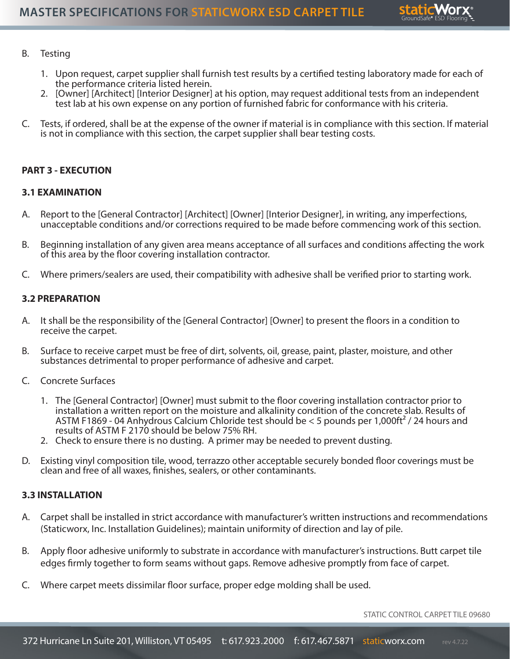

#### B. Testing

- 1. Upon request, carpet supplier shall furnish test results by a certified testing laboratory made for each of the performance criteria listed herein.
- 2. [Owner] [Architect] [Interior Designer] at his option, may request additional tests from an independent test lab at his own expense on any portion of furnished fabric for conformance with his criteria.
- C. Tests, if ordered, shall be at the expense of the owner if material is in compliance with this section. If material is not in compliance with this section, the carpet supplier shall bear testing costs.

#### **PART 3 - EXECUTION**

#### **3.1 EXAMINATION**

- A. Report to the [General Contractor] [Architect] [Owner] [Interior Designer], in writing, any imperfections, unacceptable conditions and/or corrections required to be made before commencing work of this section.
- B. Beginning installation of any given area means acceptance of all surfaces and conditions affecting the work of this area by the floor covering installation contractor.
- C. Where primers/sealers are used, their compatibility with adhesive shall be verified prior to starting work.

#### **3.2 PREPARATION**

- A. It shall be the responsibility of the [General Contractor] [Owner] to present the floors in a condition to receive the carpet.
- B. Surface to receive carpet must be free of dirt, solvents, oil, grease, paint, plaster, moisture, and other substances detrimental to proper performance of adhesive and carpet.
- C. Concrete Surfaces
	- 1. The [General Contractor] [Owner] must submit to the floor covering installation contractor prior to installation a written report on the moisture and alkalinity condition of the concrete slab. Results of ASTM F1869 - 04 Anhydrous Calcium Chloride test should be < 5 pounds per 1,000ft² / 24 hours and results of ASTM F 2170 should be below 75% RH.
	- 2. Check to ensure there is no dusting. A primer may be needed to prevent dusting.
- D. Existing vinyl composition tile, wood, terrazzo other acceptable securely bonded floor coverings must be clean and free of all waxes, finishes, sealers, or other contaminants.

#### **3.3 INSTALLATION**

- A. Carpet shall be installed in strict accordance with manufacturer's written instructions and recommendations (Staticworx, Inc. Installation Guidelines); maintain uniformity of direction and lay of pile.
- B. Apply floor adhesive uniformly to substrate in accordance with manufacturer's instructions. Butt carpet tile edges firmly together to form seams without gaps. Remove adhesive promptly from face of carpet.
- C. Where carpet meets dissimilar floor surface, proper edge molding shall be used.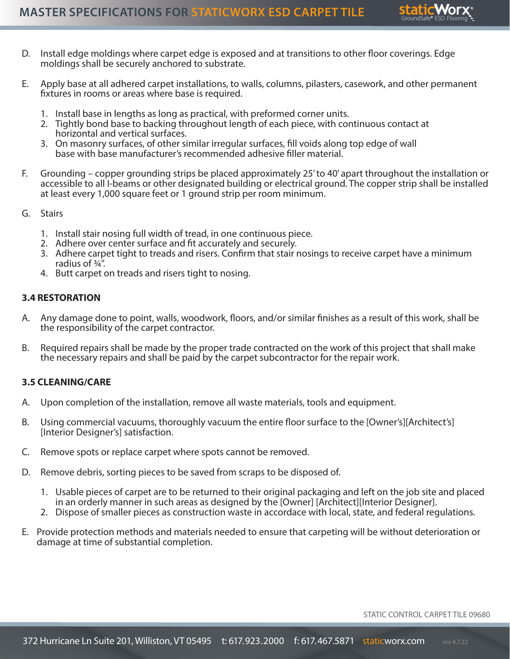

- D. Install edge moldings where carpet edge is exposed and at transitions to other floor coverings. Edge moldings shall be securely anchored to substrate.
- E. Apply base at all adhered carpet installations, to walls, columns, pilasters, casework, and other permanent fixtures in rooms or areas where base is required.
	- 1. Install base in lengths as long as practical, with preformed corner units.
	- 2. Tightly bond base to backing throughout length of each piece, with continuous contact at horizontal and vertical surfaces.
	- 3. On masonry surfaces, of other similar irregular surfaces, fill voids along top edge of wall base with base manufacturer's recommended adhesive filler material.
- F. Grounding copper grounding strips be placed approximately 25' to 40' apart throughout the installation or accessible to all I-beams or other designated building or electrical ground. The copper strip shall be installed at least every 1,000 square feet or 1 ground strip per room minimum.
- G. Stairs
	- 1. Install stair nosing full width of tread, in one continuous piece.
	- 2. Adhere over center surface and fit accurately and securely.
	- 3. Adhere carpet tight to treads and risers. Confirm that stair nosings to receive carpet have a minimum radius of ¾".
	- 4. Butt carpet on treads and risers tight to nosing.

#### **3.4 RESTORATION**

- A. Any damage done to point, walls, woodwork, floors, and/or similar finishes as a result of this work, shall be the responsibility of the carpet contractor.
- B. Required repairs shall be made by the proper trade contracted on the work of this project that shall make the necessary repairs and shall be paid by the carpet subcontractor for the repair work.

#### **3.5 CLEANING/CARE**

- A. Upon completion of the installation, remove all waste materials, tools and equipment.
- B. Using commercial vacuums, thoroughly vacuum the entire floor surface to the [Owner's][Architect's] [Interior Designer's] satisfaction.
- C. Remove spots or replace carpet where spots cannot be removed.
- D. Remove debris, sorting pieces to be saved from scraps to be disposed of.
	- 1. Usable pieces of carpet are to be returned to their original packaging and left on the job site and placed in an orderly manner in such areas as designed by the [Owner] [Architect][Interior Designer].
	- 2. Dispose of smaller pieces as construction waste in accordace with local, state, and federal regulations.
- E. Provide protection methods and materials needed to ensure that carpeting will be without deterioration or damage at time of substantial completion.